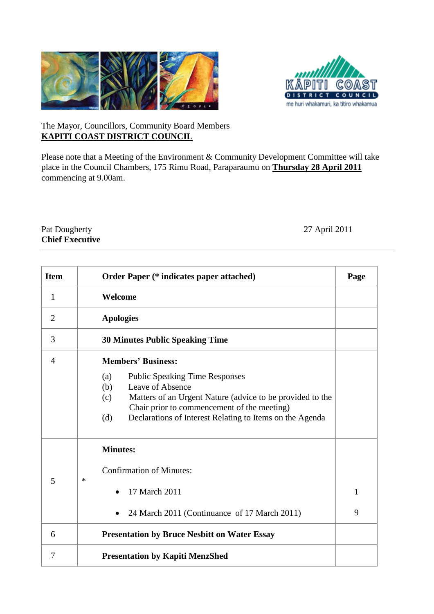



## The Mayor, Councillors, Community Board Members **KAPITI COAST DISTRICT COUNCIL**

Please note that a Meeting of the Environment & Community Development Committee will take place in the Council Chambers, 175 Rimu Road, Paraparaumu on *U***Thursday 28 April 2011** commencing at 9.00am.

## Pat Dougherty 27 April 2011 **Chief Executive**

| <b>Item</b>    | <b>Order Paper (* indicates paper attached)</b>                                                                                                                                                                                                               | Page              |
|----------------|---------------------------------------------------------------------------------------------------------------------------------------------------------------------------------------------------------------------------------------------------------------|-------------------|
| $\mathbf{1}$   | Welcome                                                                                                                                                                                                                                                       |                   |
| $\overline{2}$ | <b>Apologies</b>                                                                                                                                                                                                                                              |                   |
| 3              | <b>30 Minutes Public Speaking Time</b>                                                                                                                                                                                                                        |                   |
| $\overline{4}$ | <b>Members' Business:</b>                                                                                                                                                                                                                                     |                   |
|                | (a)<br><b>Public Speaking Time Responses</b><br>Leave of Absence<br>(b)<br>Matters of an Urgent Nature (advice to be provided to the<br>(c)<br>Chair prior to commencement of the meeting)<br>Declarations of Interest Relating to Items on the Agenda<br>(d) |                   |
| 5              | <b>Minutes:</b><br><b>Confirmation of Minutes:</b><br>∗<br>17 March 2011<br>24 March 2011 (Continuance of 17 March 2011)                                                                                                                                      | $\mathbf{1}$<br>9 |
| 6              | <b>Presentation by Bruce Nesbitt on Water Essay</b>                                                                                                                                                                                                           |                   |
| 7              | <b>Presentation by Kapiti MenzShed</b>                                                                                                                                                                                                                        |                   |